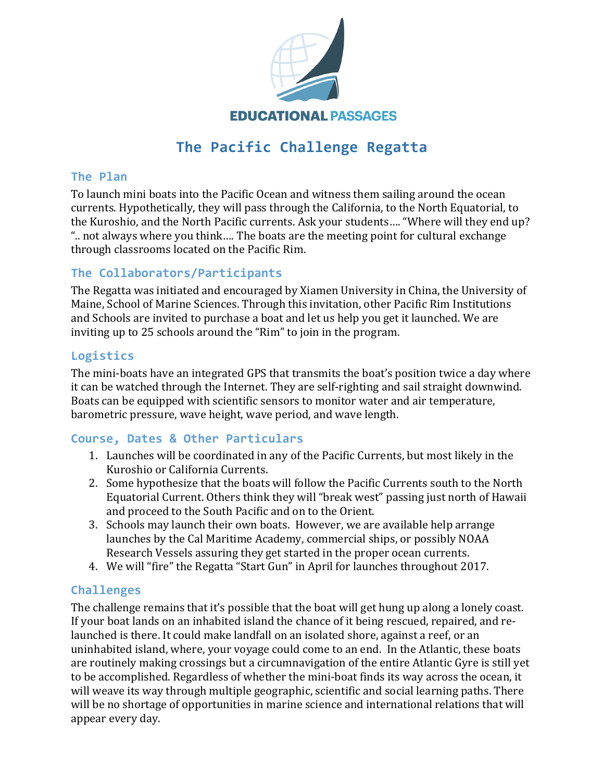

# **The Pacific Challenge Regatta**

#### **The Plan**

To launch mini boats into the Pacific Ocean and witness them sailing around the ocean currents. Hypothetically, they will pass through the California, to the North Equatorial, to the Kuroshio, and the North Pacific currents. Ask your students.... "Where will they end up? ".. not always where you think.... The boats are the meeting point for cultural exchange through classrooms located on the Pacific Rim.

## **The Collaborators/Participants**

The Regatta was initiated and encouraged by Xiamen University in China, the University of Maine, School of Marine Sciences. Through this invitation, other Pacific Rim Institutions and Schools are invited to purchase a boat and let us help you get it launched. We are inviting up to 25 schools around the "Rim" to join in the program.

## **Logistics**

The mini-boats have an integrated GPS that transmits the boat's position twice a day where it can be watched through the Internet. They are self-righting and sail straight downwind. Boats can be equipped with scientific sensors to monitor water and air temperature, barometric pressure, wave height, wave period, and wave length.

### **Course, Dates & Other Particulars**

- 1. Launches will be coordinated in any of the Pacific Currents, but most likely in the Kuroshio or California Currents.
- 2. Some hypothesize that the boats will follow the Pacific Currents south to the North Equatorial Current. Others think they will "break west" passing just north of Hawaii and proceed to the South Pacific and on to the Orient.
- 3. Schools may launch their own boats. However, we are available help arrange launches by the Cal Maritime Academy, commercial ships, or possibly NOAA Research Vessels assuring they get started in the proper ocean currents.
- 4. We will "fire" the Regatta "Start Gun" in April for launches throughout 2017.

## **Challenges**

The challenge remains that it's possible that the boat will get hung up along a lonely coast. If your boat lands on an inhabited island the chance of it being rescued, repaired, and relaunched is there. It could make landfall on an isolated shore, against a reef, or an uninhabited island, where, your voyage could come to an end. In the Atlantic, these boats are routinely making crossings but a circumnavigation of the entire Atlantic Gyre is still yet to be accomplished. Regardless of whether the mini-boat finds its way across the ocean, it will weave its way through multiple geographic, scientific and social learning paths. There will be no shortage of opportunities in marine science and international relations that will appear every day.